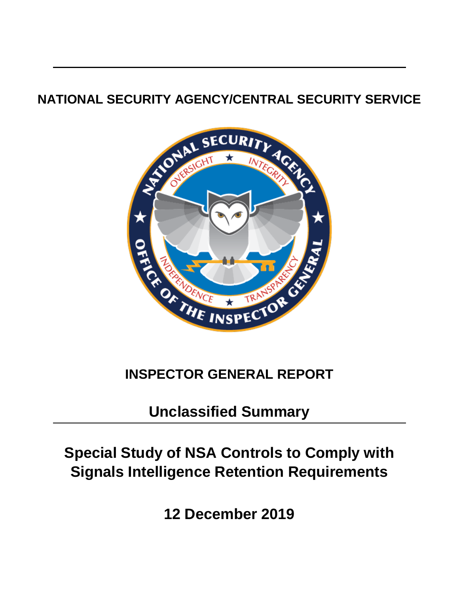# **NATIONAL SECURITY AGENCY/CENTRAL SECURITY SERVICE**



# **INSPECTOR GENERAL REPORT**

**Unclassified Summary**

# **Special Study of NSA Controls to Comply with Signals Intelligence Retention Requirements**

**12 December 2019**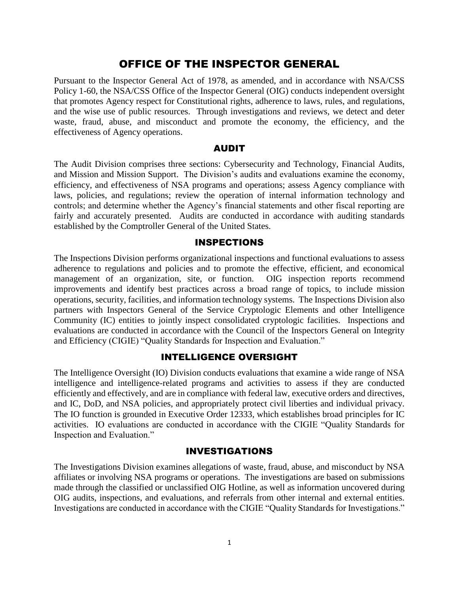## OFFICE OF THE INSPECTOR GENERAL

Pursuant to the Inspector General Act of 1978, as amended, and in accordance with NSA/CSS Policy 1-60, the NSA/CSS Office of the Inspector General (OIG) conducts independent oversight that promotes Agency respect for Constitutional rights, adherence to laws, rules, and regulations, and the wise use of public resources. Through investigations and reviews, we detect and deter waste, fraud, abuse, and misconduct and promote the economy, the efficiency, and the effectiveness of Agency operations.

#### AUDIT

The Audit Division comprises three sections: Cybersecurity and Technology, Financial Audits, and Mission and Mission Support. The Division's audits and evaluations examine the economy, efficiency, and effectiveness of NSA programs and operations; assess Agency compliance with laws, policies, and regulations; review the operation of internal information technology and controls; and determine whether the Agency's financial statements and other fiscal reporting are fairly and accurately presented. Audits are conducted in accordance with auditing standards established by the Comptroller General of the United States.

#### INSPECTIONS

The Inspections Division performs organizational inspections and functional evaluations to assess adherence to regulations and policies and to promote the effective, efficient, and economical management of an organization, site, or function. OIG inspection reports recommend improvements and identify best practices across a broad range of topics, to include mission operations, security, facilities, and information technology systems. The Inspections Division also partners with Inspectors General of the Service Cryptologic Elements and other Intelligence Community (IC) entities to jointly inspect consolidated cryptologic facilities. Inspections and evaluations are conducted in accordance with the Council of the Inspectors General on Integrity and Efficiency (CIGIE) "Quality Standards for Inspection and Evaluation."

### INTELLIGENCE OVERSIGHT

The Intelligence Oversight (IO) Division conducts evaluations that examine a wide range of NSA intelligence and intelligence-related programs and activities to assess if they are conducted efficiently and effectively, and are in compliance with federal law, executive orders and directives, and IC, DoD, and NSA policies, and appropriately protect civil liberties and individual privacy. The IO function is grounded in Executive Order 12333, which establishes broad principles for IC activities. IO evaluations are conducted in accordance with the CIGIE "Quality Standards for Inspection and Evaluation."

#### INVESTIGATIONS

The Investigations Division examines allegations of waste, fraud, abuse, and misconduct by NSA affiliates or involving NSA programs or operations. The investigations are based on submissions made through the classified or unclassified OIG Hotline, as well as information uncovered during OIG audits, inspections, and evaluations, and referrals from other internal and external entities. Investigations are conducted in accordance with the CIGIE "Quality Standards for Investigations."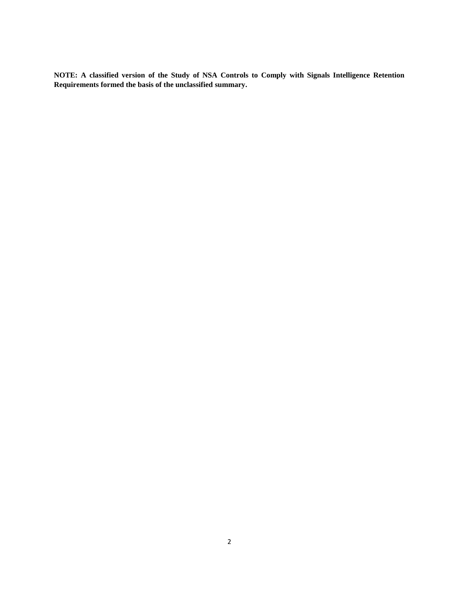**NOTE: A classified version of the Study of NSA Controls to Comply with Signals Intelligence Retention Requirements formed the basis of the unclassified summary.**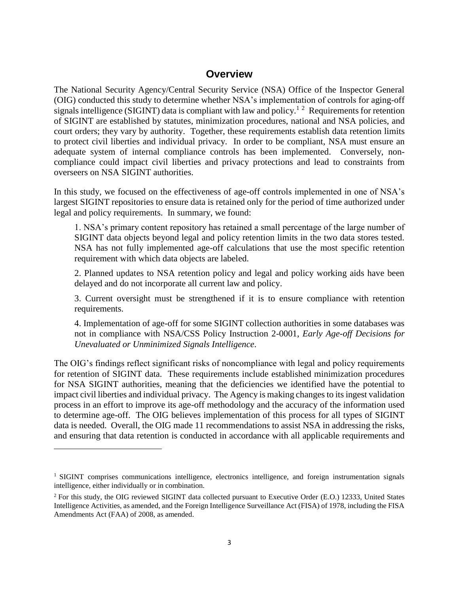## **Overview**

The National Security Agency/Central Security Service (NSA) Office of the Inspector General (OIG) conducted this study to determine whether NSA's implementation of controls for aging-off signals intelligence (SIGINT) data is compliant with law and policy.<sup>1 2</sup> Requirements for retention of SIGINT are established by statutes, minimization procedures, national and NSA policies, and court orders; they vary by authority. Together, these requirements establish data retention limits to protect civil liberties and individual privacy. In order to be compliant, NSA must ensure an adequate system of internal compliance controls has been implemented. Conversely, noncompliance could impact civil liberties and privacy protections and lead to constraints from overseers on NSA SIGINT authorities.

In this study, we focused on the effectiveness of age-off controls implemented in one of NSA's largest SIGINT repositories to ensure data is retained only for the period of time authorized under legal and policy requirements. In summary, we found:

1. NSA's primary content repository has retained a small percentage of the large number of SIGINT data objects beyond legal and policy retention limits in the two data stores tested. NSA has not fully implemented age-off calculations that use the most specific retention requirement with which data objects are labeled.

2. Planned updates to NSA retention policy and legal and policy working aids have been delayed and do not incorporate all current law and policy.

3. Current oversight must be strengthened if it is to ensure compliance with retention requirements.

4. Implementation of age-off for some SIGINT collection authorities in some databases was not in compliance with NSA/CSS Policy Instruction 2-0001, *Early Age-off Decisions for Unevaluated or Unminimized Signals Intelligence*.

The OIG's findings reflect significant risks of noncompliance with legal and policy requirements for retention of SIGINT data. These requirements include established minimization procedures for NSA SIGINT authorities, meaning that the deficiencies we identified have the potential to impact civil liberties and individual privacy. The Agency is making changes to its ingest validation process in an effort to improve its age-off methodology and the accuracy of the information used to determine age-off. The OIG believes implementation of this process for all types of SIGINT data is needed. Overall, the OIG made 11 recommendations to assist NSA in addressing the risks, and ensuring that data retention is conducted in accordance with all applicable requirements and

 $\overline{a}$ 

<sup>&</sup>lt;sup>1</sup> SIGINT comprises communications intelligence, electronics intelligence, and foreign instrumentation signals intelligence, either individually or in combination.

<sup>&</sup>lt;sup>2</sup> For this study, the OIG reviewed SIGINT data collected pursuant to Executive Order (E.O.) 12333, United States Intelligence Activities, as amended, and the Foreign Intelligence Surveillance Act (FISA) of 1978, including the FISA Amendments Act (FAA) of 2008, as amended.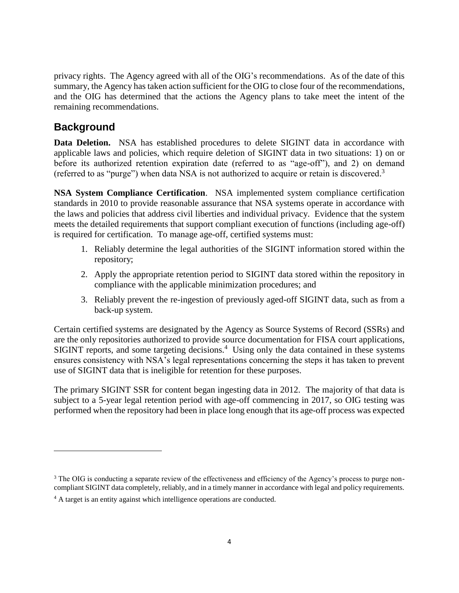privacy rights. The Agency agreed with all of the OIG's recommendations. As of the date of this summary, the Agency has taken action sufficient for the OIG to close four of the recommendations, and the OIG has determined that the actions the Agency plans to take meet the intent of the remaining recommendations.

# **Background**

 $\overline{a}$ 

**Data Deletion.** NSA has established procedures to delete SIGINT data in accordance with applicable laws and policies, which require deletion of SIGINT data in two situations: 1) on or before its authorized retention expiration date (referred to as "age-off"), and 2) on demand (referred to as "purge") when data NSA is not authorized to acquire or retain is discovered.<sup>3</sup>

**NSA System Compliance Certification**. NSA implemented system compliance certification standards in 2010 to provide reasonable assurance that NSA systems operate in accordance with the laws and policies that address civil liberties and individual privacy. Evidence that the system meets the detailed requirements that support compliant execution of functions (including age-off) is required for certification. To manage age-off, certified systems must:

- 1. Reliably determine the legal authorities of the SIGINT information stored within the repository;
- 2. Apply the appropriate retention period to SIGINT data stored within the repository in compliance with the applicable minimization procedures; and
- 3. Reliably prevent the re-ingestion of previously aged-off SIGINT data, such as from a back-up system.

Certain certified systems are designated by the Agency as Source Systems of Record (SSRs) and are the only repositories authorized to provide source documentation for FISA court applications, SIGINT reports, and some targeting decisions.<sup>4</sup> Using only the data contained in these systems ensures consistency with NSA's legal representations concerning the steps it has taken to prevent use of SIGINT data that is ineligible for retention for these purposes.

The primary SIGINT SSR for content began ingesting data in 2012. The majority of that data is subject to a 5-year legal retention period with age-off commencing in 2017, so OIG testing was performed when the repository had been in place long enough that its age-off process was expected

<sup>&</sup>lt;sup>3</sup> The OIG is conducting a separate review of the effectiveness and efficiency of the Agency's process to purge noncompliant SIGINT data completely, reliably, and in a timely manner in accordance with legal and policy requirements.

<sup>&</sup>lt;sup>4</sup> A target is an entity against which intelligence operations are conducted.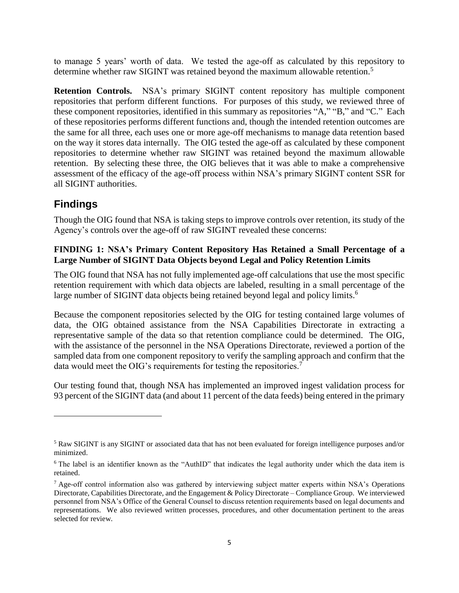to manage 5 years' worth of data. We tested the age-off as calculated by this repository to determine whether raw SIGINT was retained beyond the maximum allowable retention.<sup>5</sup>

**Retention Controls.** NSA's primary SIGINT content repository has multiple component repositories that perform different functions. For purposes of this study, we reviewed three of these component repositories, identified in this summary as repositories "A," "B," and "C." Each of these repositories performs different functions and, though the intended retention outcomes are the same for all three, each uses one or more age-off mechanisms to manage data retention based on the way it stores data internally. The OIG tested the age-off as calculated by these component repositories to determine whether raw SIGINT was retained beyond the maximum allowable retention. By selecting these three, the OIG believes that it was able to make a comprehensive assessment of the efficacy of the age-off process within NSA's primary SIGINT content SSR for all SIGINT authorities.

## **Findings**

 $\overline{a}$ 

Though the OIG found that NSA is taking steps to improve controls over retention, its study of the Agency's controls over the age-off of raw SIGINT revealed these concerns:

#### **FINDING 1: NSA's Primary Content Repository Has Retained a Small Percentage of a Large Number of SIGINT Data Objects beyond Legal and Policy Retention Limits**

The OIG found that NSA has not fully implemented age-off calculations that use the most specific retention requirement with which data objects are labeled, resulting in a small percentage of the large number of SIGINT data objects being retained beyond legal and policy limits.<sup>6</sup>

Because the component repositories selected by the OIG for testing contained large volumes of data, the OIG obtained assistance from the NSA Capabilities Directorate in extracting a representative sample of the data so that retention compliance could be determined. The OIG, with the assistance of the personnel in the NSA Operations Directorate, reviewed a portion of the sampled data from one component repository to verify the sampling approach and confirm that the data would meet the OIG's requirements for testing the repositories.<sup>7</sup>

Our testing found that, though NSA has implemented an improved ingest validation process for 93 percent of the SIGINT data (and about 11 percent of the data feeds) being entered in the primary

<sup>5</sup> Raw SIGINT is any SIGINT or associated data that has not been evaluated for foreign intelligence purposes and/or minimized.

<sup>&</sup>lt;sup>6</sup> The label is an identifier known as the "AuthID" that indicates the legal authority under which the data item is retained.

 $7$  Age-off control information also was gathered by interviewing subject matter experts within NSA's Operations Directorate, Capabilities Directorate, and the Engagement & Policy Directorate – Compliance Group. We interviewed personnel from NSA's Office of the General Counsel to discuss retention requirements based on legal documents and representations. We also reviewed written processes, procedures, and other documentation pertinent to the areas selected for review.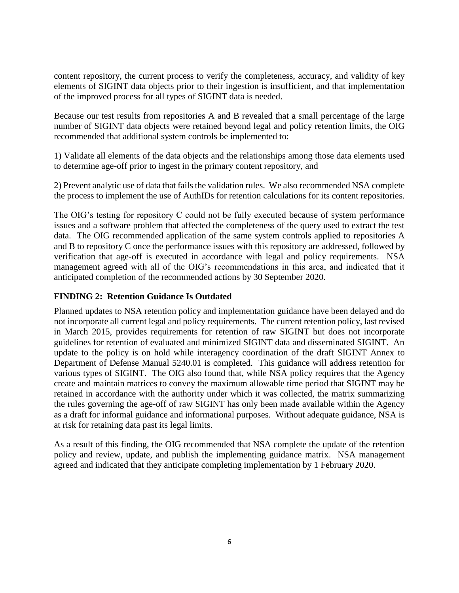content repository, the current process to verify the completeness, accuracy, and validity of key elements of SIGINT data objects prior to their ingestion is insufficient, and that implementation of the improved process for all types of SIGINT data is needed.

Because our test results from repositories A and B revealed that a small percentage of the large number of SIGINT data objects were retained beyond legal and policy retention limits, the OIG recommended that additional system controls be implemented to:

1) Validate all elements of the data objects and the relationships among those data elements used to determine age-off prior to ingest in the primary content repository, and

2) Prevent analytic use of data that fails the validation rules. We also recommended NSA complete the process to implement the use of AuthIDs for retention calculations for its content repositories.

The OIG's testing for repository C could not be fully executed because of system performance issues and a software problem that affected the completeness of the query used to extract the test data. The OIG recommended application of the same system controls applied to repositories A and B to repository C once the performance issues with this repository are addressed, followed by verification that age-off is executed in accordance with legal and policy requirements. NSA management agreed with all of the OIG's recommendations in this area, and indicated that it anticipated completion of the recommended actions by 30 September 2020.

### **FINDING 2: Retention Guidance Is Outdated**

Planned updates to NSA retention policy and implementation guidance have been delayed and do not incorporate all current legal and policy requirements. The current retention policy, last revised in March 2015, provides requirements for retention of raw SIGINT but does not incorporate guidelines for retention of evaluated and minimized SIGINT data and disseminated SIGINT. An update to the policy is on hold while interagency coordination of the draft SIGINT Annex to Department of Defense Manual 5240.01 is completed. This guidance will address retention for various types of SIGINT. The OIG also found that, while NSA policy requires that the Agency create and maintain matrices to convey the maximum allowable time period that SIGINT may be retained in accordance with the authority under which it was collected, the matrix summarizing the rules governing the age-off of raw SIGINT has only been made available within the Agency as a draft for informal guidance and informational purposes. Without adequate guidance, NSA is at risk for retaining data past its legal limits.

As a result of this finding, the OIG recommended that NSA complete the update of the retention policy and review, update, and publish the implementing guidance matrix. NSA management agreed and indicated that they anticipate completing implementation by 1 February 2020.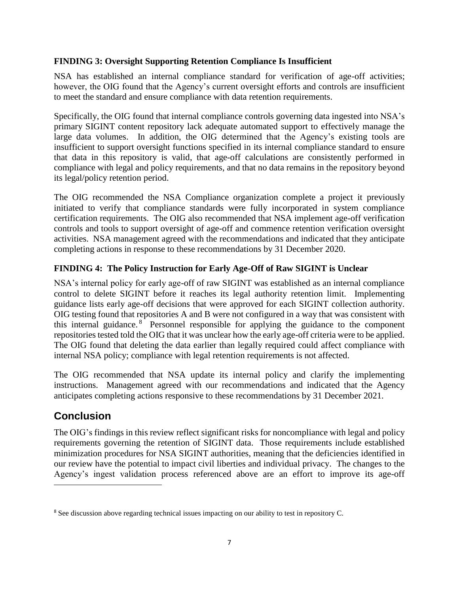## **FINDING 3: Oversight Supporting Retention Compliance Is Insufficient**

NSA has established an internal compliance standard for verification of age-off activities; however, the OIG found that the Agency's current oversight efforts and controls are insufficient to meet the standard and ensure compliance with data retention requirements.

Specifically, the OIG found that internal compliance controls governing data ingested into NSA's primary SIGINT content repository lack adequate automated support to effectively manage the large data volumes. In addition, the OIG determined that the Agency's existing tools are insufficient to support oversight functions specified in its internal compliance standard to ensure that data in this repository is valid, that age-off calculations are consistently performed in compliance with legal and policy requirements, and that no data remains in the repository beyond its legal/policy retention period.

The OIG recommended the NSA Compliance organization complete a project it previously initiated to verify that compliance standards were fully incorporated in system compliance certification requirements. The OIG also recommended that NSA implement age-off verification controls and tools to support oversight of age-off and commence retention verification oversight activities. NSA management agreed with the recommendations and indicated that they anticipate completing actions in response to these recommendations by 31 December 2020.

### **FINDING 4: The Policy Instruction for Early Age-Off of Raw SIGINT is Unclear**

NSA's internal policy for early age-off of raw SIGINT was established as an internal compliance control to delete SIGINT before it reaches its legal authority retention limit. Implementing guidance lists early age-off decisions that were approved for each SIGINT collection authority. OIG testing found that repositories A and B were not configured in a way that was consistent with this internal guidance.<sup>8</sup> Personnel responsible for applying the guidance to the component repositories tested told the OIG that it was unclear how the early age-off criteria were to be applied. The OIG found that deleting the data earlier than legally required could affect compliance with internal NSA policy; compliance with legal retention requirements is not affected.

The OIG recommended that NSA update its internal policy and clarify the implementing instructions. Management agreed with our recommendations and indicated that the Agency anticipates completing actions responsive to these recommendations by 31 December 2021.

## **Conclusion**

 $\overline{a}$ 

The OIG's findings in this review reflect significant risks for noncompliance with legal and policy requirements governing the retention of SIGINT data. Those requirements include established minimization procedures for NSA SIGINT authorities, meaning that the deficiencies identified in our review have the potential to impact civil liberties and individual privacy. The changes to the Agency's ingest validation process referenced above are an effort to improve its age-off

<sup>&</sup>lt;sup>8</sup> See discussion above regarding technical issues impacting on our ability to test in repository C.